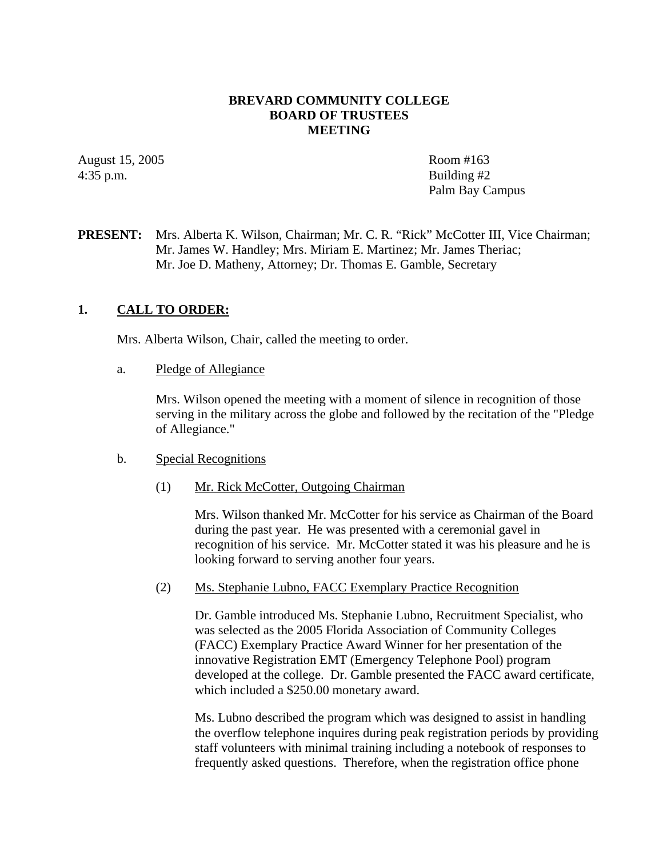### **BREVARD COMMUNITY COLLEGE BOARD OF TRUSTEES MEETING**

August 15, 2005 Room #163  $4:35$  p.m. Building  $#2$ 

Palm Bay Campus

**PRESENT:** Mrs. Alberta K. Wilson, Chairman; Mr. C. R. "Rick" McCotter III, Vice Chairman; Mr. James W. Handley; Mrs. Miriam E. Martinez; Mr. James Theriac; Mr. Joe D. Matheny, Attorney; Dr. Thomas E. Gamble, Secretary

## **1. CALL TO ORDER:**

Mrs. Alberta Wilson, Chair, called the meeting to order.

a. Pledge of Allegiance

Mrs. Wilson opened the meeting with a moment of silence in recognition of those serving in the military across the globe and followed by the recitation of the "Pledge of Allegiance."

#### b. Special Recognitions

#### (1) Mr. Rick McCotter, Outgoing Chairman

Mrs. Wilson thanked Mr. McCotter for his service as Chairman of the Board during the past year. He was presented with a ceremonial gavel in recognition of his service. Mr. McCotter stated it was his pleasure and he is looking forward to serving another four years.

### (2) Ms. Stephanie Lubno, FACC Exemplary Practice Recognition

Dr. Gamble introduced Ms. Stephanie Lubno, Recruitment Specialist, who was selected as the 2005 Florida Association of Community Colleges (FACC) Exemplary Practice Award Winner for her presentation of the innovative Registration EMT (Emergency Telephone Pool) program developed at the college. Dr. Gamble presented the FACC award certificate, which included a \$250.00 monetary award.

Ms. Lubno described the program which was designed to assist in handling the overflow telephone inquires during peak registration periods by providing staff volunteers with minimal training including a notebook of responses to frequently asked questions. Therefore, when the registration office phone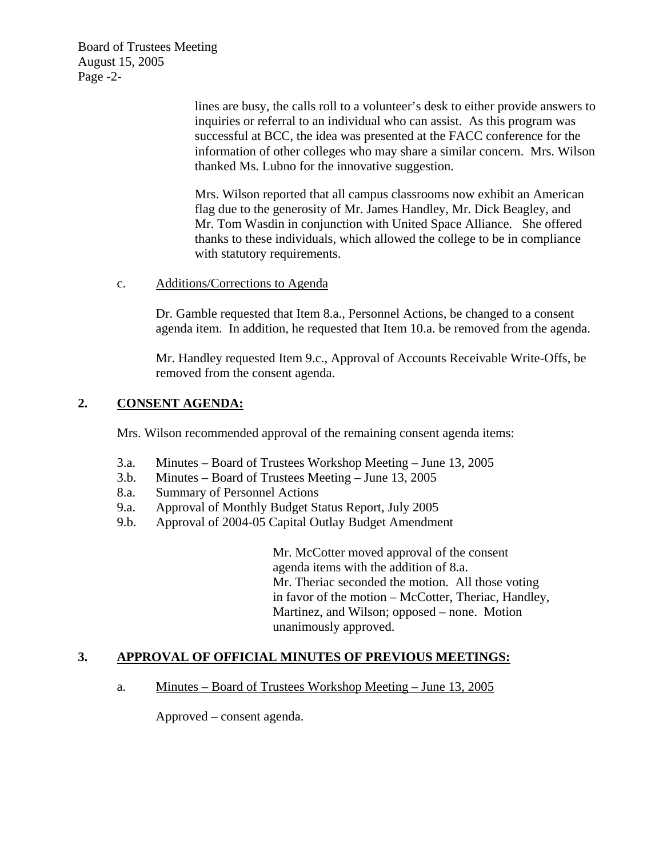Board of Trustees Meeting August 15, 2005 Page -2-

> lines are busy, the calls roll to a volunteer's desk to either provide answers to inquiries or referral to an individual who can assist. As this program was successful at BCC, the idea was presented at the FACC conference for the information of other colleges who may share a similar concern. Mrs. Wilson thanked Ms. Lubno for the innovative suggestion.

Mrs. Wilson reported that all campus classrooms now exhibit an American flag due to the generosity of Mr. James Handley, Mr. Dick Beagley, and Mr. Tom Wasdin in conjunction with United Space Alliance. She offered thanks to these individuals, which allowed the college to be in compliance with statutory requirements.

c. Additions/Corrections to Agenda

Dr. Gamble requested that Item 8.a., Personnel Actions, be changed to a consent agenda item. In addition, he requested that Item 10.a. be removed from the agenda.

Mr. Handley requested Item 9.c., Approval of Accounts Receivable Write-Offs, be removed from the consent agenda.

# **2. CONSENT AGENDA:**

Mrs. Wilson recommended approval of the remaining consent agenda items:

- 3.a. Minutes Board of Trustees Workshop Meeting June 13, 2005
- 3.b. Minutes Board of Trustees Meeting June 13, 2005
- 8.a. Summary of Personnel Actions
- 9.a. Approval of Monthly Budget Status Report, July 2005
- 9.b. Approval of 2004-05 Capital Outlay Budget Amendment

Mr. McCotter moved approval of the consent agenda items with the addition of 8.a. Mr. Theriac seconded the motion. All those voting in favor of the motion – McCotter, Theriac, Handley, Martinez, and Wilson; opposed – none. Motion unanimously approved.

# **3. APPROVAL OF OFFICIAL MINUTES OF PREVIOUS MEETINGS:**

### a. Minutes – Board of Trustees Workshop Meeting – June 13, 2005

Approved – consent agenda.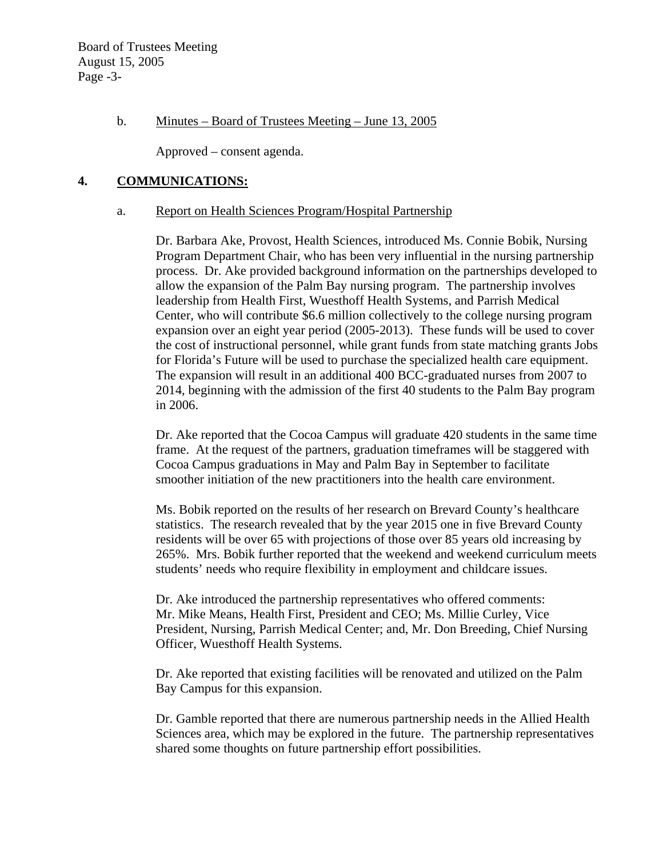Board of Trustees Meeting August 15, 2005 Page -3-

#### b. Minutes – Board of Trustees Meeting – June 13, 2005

Approved – consent agenda.

#### **4. COMMUNICATIONS:**

#### a. Report on Health Sciences Program/Hospital Partnership

Dr. Barbara Ake, Provost, Health Sciences, introduced Ms. Connie Bobik, Nursing Program Department Chair, who has been very influential in the nursing partnership process. Dr. Ake provided background information on the partnerships developed to allow the expansion of the Palm Bay nursing program. The partnership involves leadership from Health First, Wuesthoff Health Systems, and Parrish Medical Center, who will contribute \$6.6 million collectively to the college nursing program expansion over an eight year period (2005-2013). These funds will be used to cover the cost of instructional personnel, while grant funds from state matching grants Jobs for Florida's Future will be used to purchase the specialized health care equipment. The expansion will result in an additional 400 BCC-graduated nurses from 2007 to 2014, beginning with the admission of the first 40 students to the Palm Bay program in 2006.

Dr. Ake reported that the Cocoa Campus will graduate 420 students in the same time frame. At the request of the partners, graduation timeframes will be staggered with Cocoa Campus graduations in May and Palm Bay in September to facilitate smoother initiation of the new practitioners into the health care environment.

Ms. Bobik reported on the results of her research on Brevard County's healthcare statistics. The research revealed that by the year 2015 one in five Brevard County residents will be over 65 with projections of those over 85 years old increasing by 265%. Mrs. Bobik further reported that the weekend and weekend curriculum meets students' needs who require flexibility in employment and childcare issues.

Dr. Ake introduced the partnership representatives who offered comments: Mr. Mike Means, Health First, President and CEO; Ms. Millie Curley, Vice President, Nursing, Parrish Medical Center; and, Mr. Don Breeding, Chief Nursing Officer, Wuesthoff Health Systems.

Dr. Ake reported that existing facilities will be renovated and utilized on the Palm Bay Campus for this expansion.

Dr. Gamble reported that there are numerous partnership needs in the Allied Health Sciences area, which may be explored in the future. The partnership representatives shared some thoughts on future partnership effort possibilities.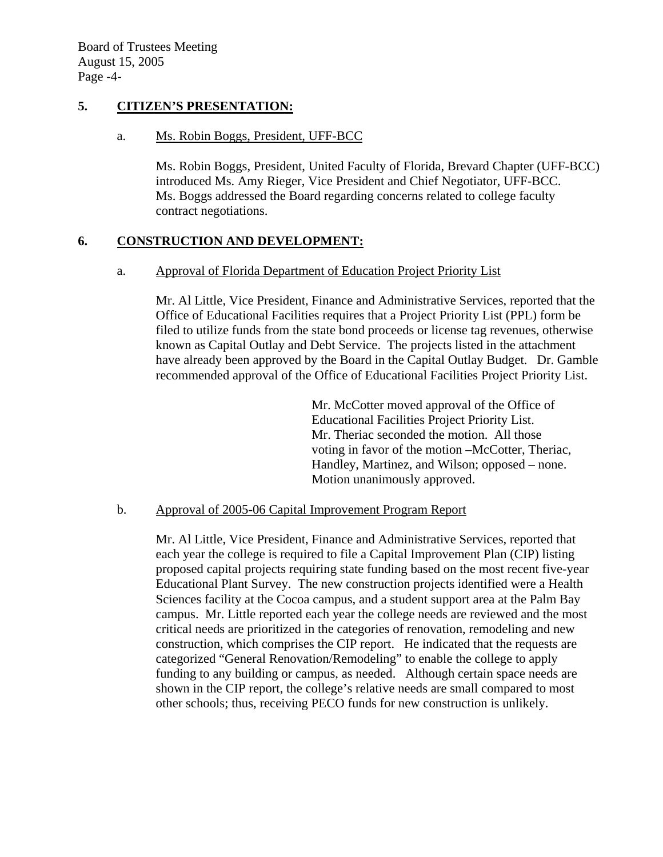### **5. CITIZEN'S PRESENTATION:**

### a. Ms. Robin Boggs, President, UFF-BCC

Ms. Robin Boggs, President, United Faculty of Florida, Brevard Chapter (UFF-BCC) introduced Ms. Amy Rieger, Vice President and Chief Negotiator, UFF-BCC. Ms. Boggs addressed the Board regarding concerns related to college faculty contract negotiations.

# **6. CONSTRUCTION AND DEVELOPMENT:**

## a. Approval of Florida Department of Education Project Priority List

Mr. Al Little, Vice President, Finance and Administrative Services, reported that the Office of Educational Facilities requires that a Project Priority List (PPL) form be filed to utilize funds from the state bond proceeds or license tag revenues, otherwise known as Capital Outlay and Debt Service. The projects listed in the attachment have already been approved by the Board in the Capital Outlay Budget. Dr. Gamble recommended approval of the Office of Educational Facilities Project Priority List.

> Mr. McCotter moved approval of the Office of Educational Facilities Project Priority List. Mr. Theriac seconded the motion. All those voting in favor of the motion –McCotter, Theriac, Handley, Martinez, and Wilson; opposed – none. Motion unanimously approved.

### b. Approval of 2005-06 Capital Improvement Program Report

Mr. Al Little, Vice President, Finance and Administrative Services, reported that each year the college is required to file a Capital Improvement Plan (CIP) listing proposed capital projects requiring state funding based on the most recent five-year Educational Plant Survey. The new construction projects identified were a Health Sciences facility at the Cocoa campus, and a student support area at the Palm Bay campus. Mr. Little reported each year the college needs are reviewed and the most critical needs are prioritized in the categories of renovation, remodeling and new construction, which comprises the CIP report. He indicated that the requests are categorized "General Renovation/Remodeling" to enable the college to apply funding to any building or campus, as needed. Although certain space needs are shown in the CIP report, the college's relative needs are small compared to most other schools; thus, receiving PECO funds for new construction is unlikely.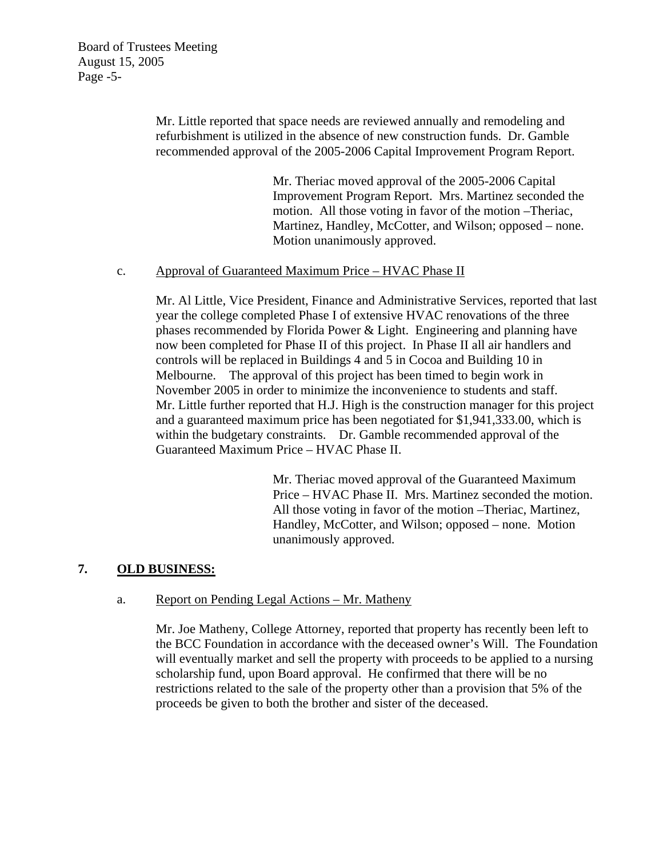Mr. Little reported that space needs are reviewed annually and remodeling and refurbishment is utilized in the absence of new construction funds. Dr. Gamble recommended approval of the 2005-2006 Capital Improvement Program Report.

> Mr. Theriac moved approval of the 2005-2006 Capital Improvement Program Report. Mrs. Martinez seconded the motion. All those voting in favor of the motion –Theriac, Martinez, Handley, McCotter, and Wilson; opposed – none. Motion unanimously approved.

## c. Approval of Guaranteed Maximum Price – HVAC Phase II

Mr. Al Little, Vice President, Finance and Administrative Services, reported that last year the college completed Phase I of extensive HVAC renovations of the three phases recommended by Florida Power & Light. Engineering and planning have now been completed for Phase II of this project. In Phase II all air handlers and controls will be replaced in Buildings 4 and 5 in Cocoa and Building 10 in Melbourne. The approval of this project has been timed to begin work in November 2005 in order to minimize the inconvenience to students and staff. Mr. Little further reported that H.J. High is the construction manager for this project and a guaranteed maximum price has been negotiated for \$1,941,333.00, which is within the budgetary constraints. Dr. Gamble recommended approval of the Guaranteed Maximum Price – HVAC Phase II.

> Mr. Theriac moved approval of the Guaranteed Maximum Price – HVAC Phase II. Mrs. Martinez seconded the motion. All those voting in favor of the motion –Theriac, Martinez, Handley, McCotter, and Wilson; opposed – none. Motion unanimously approved.

# **7. OLD BUSINESS:**

# a. Report on Pending Legal Actions – Mr. Matheny

Mr. Joe Matheny, College Attorney, reported that property has recently been left to the BCC Foundation in accordance with the deceased owner's Will. The Foundation will eventually market and sell the property with proceeds to be applied to a nursing scholarship fund, upon Board approval. He confirmed that there will be no restrictions related to the sale of the property other than a provision that 5% of the proceeds be given to both the brother and sister of the deceased.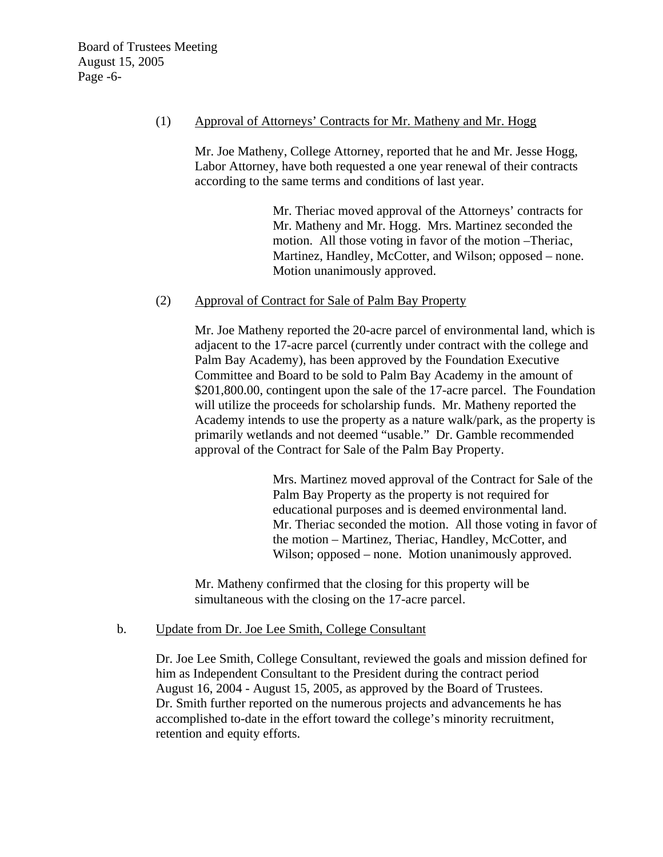### (1) Approval of Attorneys' Contracts for Mr. Matheny and Mr. Hogg

Mr. Joe Matheny, College Attorney, reported that he and Mr. Jesse Hogg, Labor Attorney, have both requested a one year renewal of their contracts according to the same terms and conditions of last year.

> Mr. Theriac moved approval of the Attorneys' contracts for Mr. Matheny and Mr. Hogg. Mrs. Martinez seconded the motion. All those voting in favor of the motion –Theriac, Martinez, Handley, McCotter, and Wilson; opposed – none. Motion unanimously approved.

### (2) Approval of Contract for Sale of Palm Bay Property

Mr. Joe Matheny reported the 20-acre parcel of environmental land, which is adjacent to the 17-acre parcel (currently under contract with the college and Palm Bay Academy), has been approved by the Foundation Executive Committee and Board to be sold to Palm Bay Academy in the amount of \$201,800.00, contingent upon the sale of the 17-acre parcel. The Foundation will utilize the proceeds for scholarship funds. Mr. Matheny reported the Academy intends to use the property as a nature walk/park, as the property is primarily wetlands and not deemed "usable." Dr. Gamble recommended approval of the Contract for Sale of the Palm Bay Property.

> Mrs. Martinez moved approval of the Contract for Sale of the Palm Bay Property as the property is not required for educational purposes and is deemed environmental land. Mr. Theriac seconded the motion. All those voting in favor of the motion – Martinez, Theriac, Handley, McCotter, and Wilson; opposed – none. Motion unanimously approved.

Mr. Matheny confirmed that the closing for this property will be simultaneous with the closing on the 17-acre parcel.

# b. Update from Dr. Joe Lee Smith, College Consultant

Dr. Joe Lee Smith, College Consultant, reviewed the goals and mission defined for him as Independent Consultant to the President during the contract period August 16, 2004 - August 15, 2005, as approved by the Board of Trustees. Dr. Smith further reported on the numerous projects and advancements he has accomplished to-date in the effort toward the college's minority recruitment, retention and equity efforts.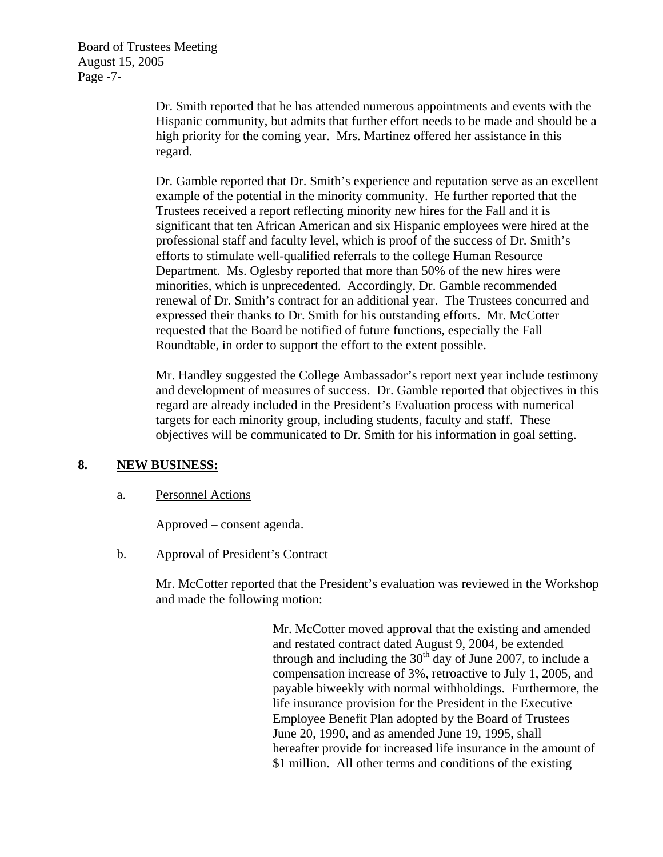Board of Trustees Meeting August 15, 2005 Page -7-

> Dr. Smith reported that he has attended numerous appointments and events with the Hispanic community, but admits that further effort needs to be made and should be a high priority for the coming year. Mrs. Martinez offered her assistance in this regard.

> Dr. Gamble reported that Dr. Smith's experience and reputation serve as an excellent example of the potential in the minority community. He further reported that the Trustees received a report reflecting minority new hires for the Fall and it is significant that ten African American and six Hispanic employees were hired at the professional staff and faculty level, which is proof of the success of Dr. Smith's efforts to stimulate well-qualified referrals to the college Human Resource Department. Ms. Oglesby reported that more than 50% of the new hires were minorities, which is unprecedented. Accordingly, Dr. Gamble recommended renewal of Dr. Smith's contract for an additional year. The Trustees concurred and expressed their thanks to Dr. Smith for his outstanding efforts. Mr. McCotter requested that the Board be notified of future functions, especially the Fall Roundtable, in order to support the effort to the extent possible.

> Mr. Handley suggested the College Ambassador's report next year include testimony and development of measures of success. Dr. Gamble reported that objectives in this regard are already included in the President's Evaluation process with numerical targets for each minority group, including students, faculty and staff. These objectives will be communicated to Dr. Smith for his information in goal setting.

# **8. NEW BUSINESS:**

### a. Personnel Actions

Approved – consent agenda.

### b. Approval of President's Contract

Mr. McCotter reported that the President's evaluation was reviewed in the Workshop and made the following motion:

> Mr. McCotter moved approval that the existing and amended and restated contract dated August 9, 2004, be extended through and including the  $30<sup>th</sup>$  day of June 2007, to include a compensation increase of 3%, retroactive to July 1, 2005, and payable biweekly with normal withholdings. Furthermore, the life insurance provision for the President in the Executive Employee Benefit Plan adopted by the Board of Trustees June 20, 1990, and as amended June 19, 1995, shall hereafter provide for increased life insurance in the amount of \$1 million. All other terms and conditions of the existing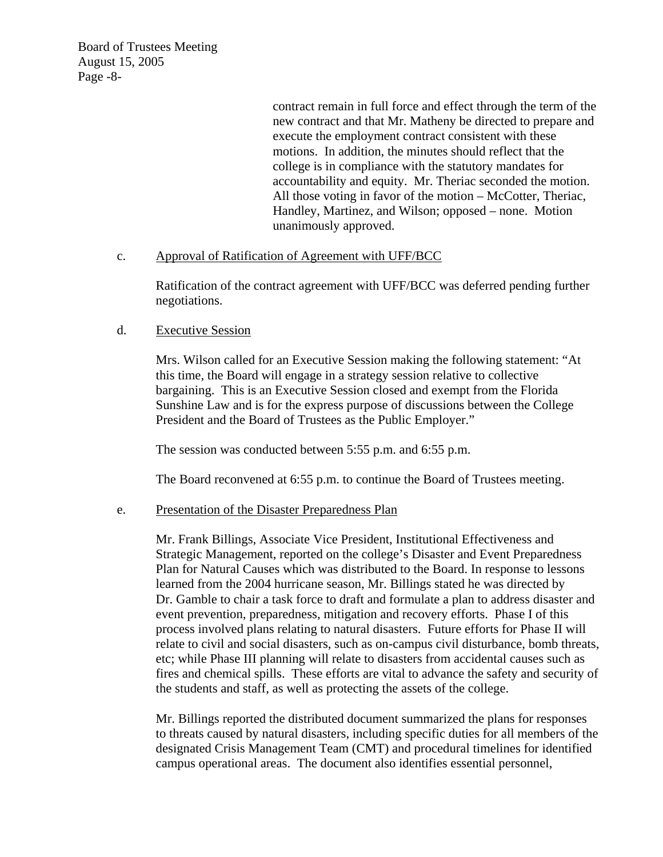Board of Trustees Meeting August 15, 2005 Page -8-

> contract remain in full force and effect through the term of the new contract and that Mr. Matheny be directed to prepare and execute the employment contract consistent with these motions. In addition, the minutes should reflect that the college is in compliance with the statutory mandates for accountability and equity. Mr. Theriac seconded the motion. All those voting in favor of the motion – McCotter, Theriac, Handley, Martinez, and Wilson; opposed – none. Motion unanimously approved.

### c. Approval of Ratification of Agreement with UFF/BCC

Ratification of the contract agreement with UFF/BCC was deferred pending further negotiations.

## d. Executive Session

Mrs. Wilson called for an Executive Session making the following statement: "At this time, the Board will engage in a strategy session relative to collective bargaining. This is an Executive Session closed and exempt from the Florida Sunshine Law and is for the express purpose of discussions between the College President and the Board of Trustees as the Public Employer."

The session was conducted between 5:55 p.m. and 6:55 p.m.

The Board reconvened at 6:55 p.m. to continue the Board of Trustees meeting.

### e. Presentation of the Disaster Preparedness Plan

Mr. Frank Billings, Associate Vice President, Institutional Effectiveness and Strategic Management, reported on the college's Disaster and Event Preparedness Plan for Natural Causes which was distributed to the Board. In response to lessons learned from the 2004 hurricane season, Mr. Billings stated he was directed by Dr. Gamble to chair a task force to draft and formulate a plan to address disaster and event prevention, preparedness, mitigation and recovery efforts. Phase I of this process involved plans relating to natural disasters. Future efforts for Phase II will relate to civil and social disasters, such as on-campus civil disturbance, bomb threats, etc; while Phase III planning will relate to disasters from accidental causes such as fires and chemical spills. These efforts are vital to advance the safety and security of the students and staff, as well as protecting the assets of the college.

Mr. Billings reported the distributed document summarized the plans for responses to threats caused by natural disasters, including specific duties for all members of the designated Crisis Management Team (CMT) and procedural timelines for identified campus operational areas. The document also identifies essential personnel,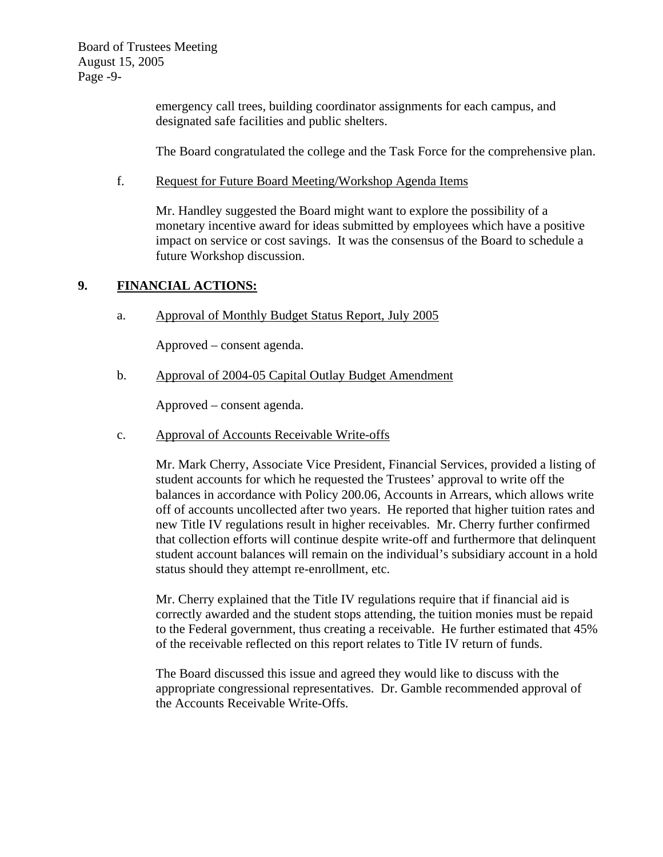Board of Trustees Meeting August 15, 2005 Page -9-

> emergency call trees, building coordinator assignments for each campus, and designated safe facilities and public shelters.

The Board congratulated the college and the Task Force for the comprehensive plan.

## f. Request for Future Board Meeting/Workshop Agenda Items

Mr. Handley suggested the Board might want to explore the possibility of a monetary incentive award for ideas submitted by employees which have a positive impact on service or cost savings. It was the consensus of the Board to schedule a future Workshop discussion.

# **9. FINANCIAL ACTIONS:**

a. Approval of Monthly Budget Status Report, July 2005

Approved – consent agenda.

b. Approval of 2004-05 Capital Outlay Budget Amendment

Approved – consent agenda.

c. Approval of Accounts Receivable Write-offs

Mr. Mark Cherry, Associate Vice President, Financial Services, provided a listing of student accounts for which he requested the Trustees' approval to write off the balances in accordance with Policy 200.06, Accounts in Arrears, which allows write off of accounts uncollected after two years. He reported that higher tuition rates and new Title IV regulations result in higher receivables. Mr. Cherry further confirmed that collection efforts will continue despite write-off and furthermore that delinquent student account balances will remain on the individual's subsidiary account in a hold status should they attempt re-enrollment, etc.

Mr. Cherry explained that the Title IV regulations require that if financial aid is correctly awarded and the student stops attending, the tuition monies must be repaid to the Federal government, thus creating a receivable. He further estimated that 45% of the receivable reflected on this report relates to Title IV return of funds.

The Board discussed this issue and agreed they would like to discuss with the appropriate congressional representatives. Dr. Gamble recommended approval of the Accounts Receivable Write-Offs.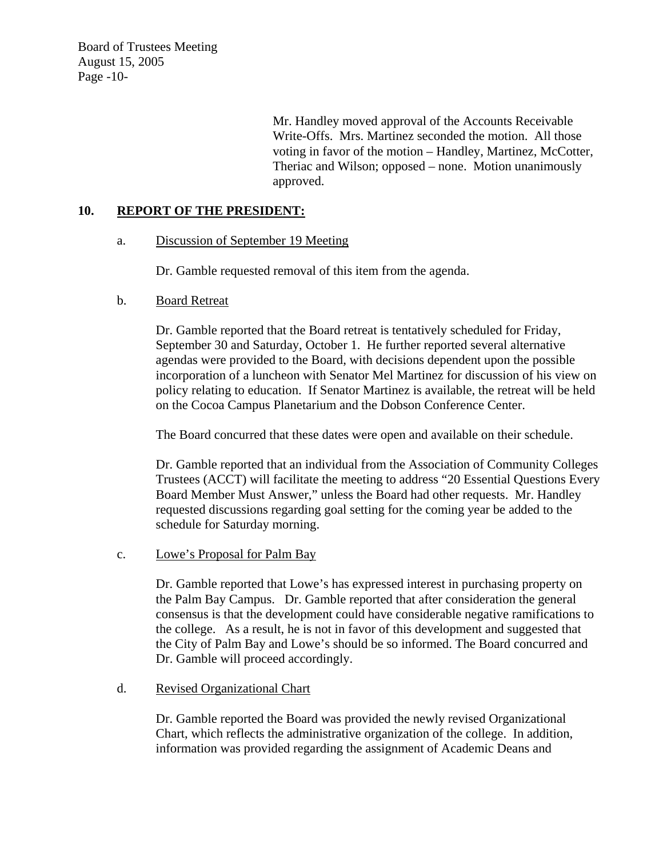Board of Trustees Meeting August 15, 2005 Page -10-

> Mr. Handley moved approval of the Accounts Receivable Write-Offs. Mrs. Martinez seconded the motion. All those voting in favor of the motion – Handley, Martinez, McCotter, Theriac and Wilson; opposed – none. Motion unanimously approved.

### **10. REPORT OF THE PRESIDENT:**

## a. Discussion of September 19 Meeting

Dr. Gamble requested removal of this item from the agenda.

## b. Board Retreat

Dr. Gamble reported that the Board retreat is tentatively scheduled for Friday, September 30 and Saturday, October 1. He further reported several alternative agendas were provided to the Board, with decisions dependent upon the possible incorporation of a luncheon with Senator Mel Martinez for discussion of his view on policy relating to education. If Senator Martinez is available, the retreat will be held on the Cocoa Campus Planetarium and the Dobson Conference Center.

The Board concurred that these dates were open and available on their schedule.

Dr. Gamble reported that an individual from the Association of Community Colleges Trustees (ACCT) will facilitate the meeting to address "20 Essential Questions Every Board Member Must Answer," unless the Board had other requests. Mr. Handley requested discussions regarding goal setting for the coming year be added to the schedule for Saturday morning.

### c. Lowe's Proposal for Palm Bay

Dr. Gamble reported that Lowe's has expressed interest in purchasing property on the Palm Bay Campus. Dr. Gamble reported that after consideration the general consensus is that the development could have considerable negative ramifications to the college. As a result, he is not in favor of this development and suggested that the City of Palm Bay and Lowe's should be so informed. The Board concurred and Dr. Gamble will proceed accordingly.

### d. Revised Organizational Chart

Dr. Gamble reported the Board was provided the newly revised Organizational Chart, which reflects the administrative organization of the college. In addition, information was provided regarding the assignment of Academic Deans and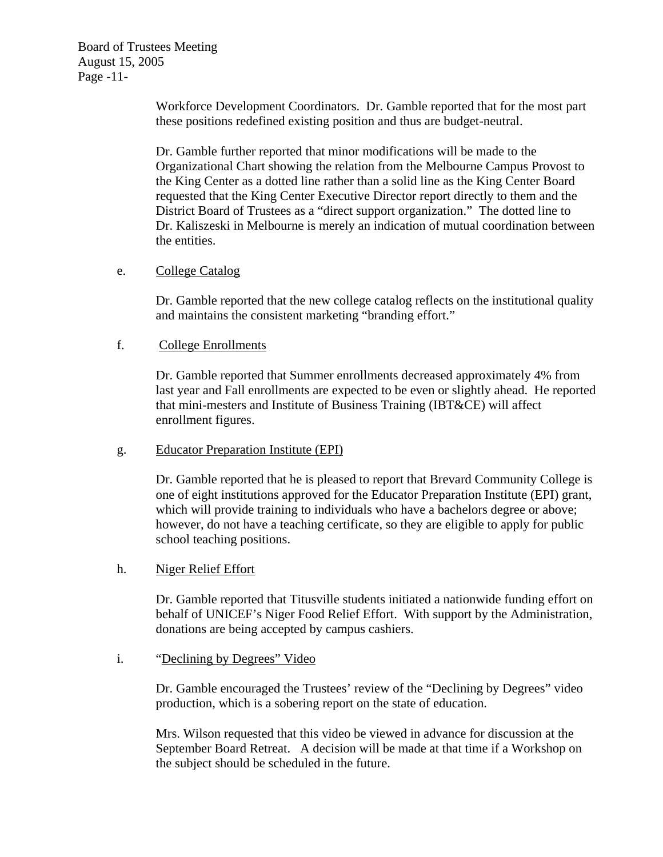Board of Trustees Meeting August 15, 2005 Page -11-

> Workforce Development Coordinators. Dr. Gamble reported that for the most part these positions redefined existing position and thus are budget-neutral.

Dr. Gamble further reported that minor modifications will be made to the Organizational Chart showing the relation from the Melbourne Campus Provost to the King Center as a dotted line rather than a solid line as the King Center Board requested that the King Center Executive Director report directly to them and the District Board of Trustees as a "direct support organization." The dotted line to Dr. Kaliszeski in Melbourne is merely an indication of mutual coordination between the entities.

### e. College Catalog

Dr. Gamble reported that the new college catalog reflects on the institutional quality and maintains the consistent marketing "branding effort."

## f. College Enrollments

Dr. Gamble reported that Summer enrollments decreased approximately 4% from last year and Fall enrollments are expected to be even or slightly ahead. He reported that mini-mesters and Institute of Business Training (IBT&CE) will affect enrollment figures.

### g. Educator Preparation Institute (EPI)

Dr. Gamble reported that he is pleased to report that Brevard Community College is one of eight institutions approved for the Educator Preparation Institute (EPI) grant, which will provide training to individuals who have a bachelors degree or above; however, do not have a teaching certificate, so they are eligible to apply for public school teaching positions.

### h. Niger Relief Effort

 Dr. Gamble reported that Titusville students initiated a nationwide funding effort on behalf of UNICEF's Niger Food Relief Effort. With support by the Administration, donations are being accepted by campus cashiers.

### i. "Declining by Degrees" Video

Dr. Gamble encouraged the Trustees' review of the "Declining by Degrees" video production, which is a sobering report on the state of education.

Mrs. Wilson requested that this video be viewed in advance for discussion at the September Board Retreat. A decision will be made at that time if a Workshop on the subject should be scheduled in the future.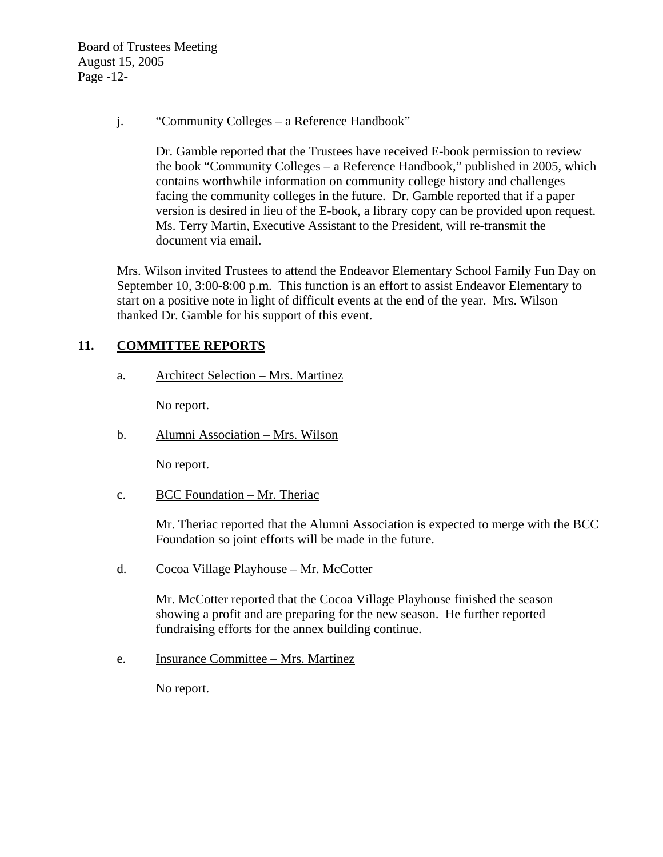Board of Trustees Meeting August 15, 2005 Page -12-

j. "Community Colleges – a Reference Handbook"

Dr. Gamble reported that the Trustees have received E-book permission to review the book "Community Colleges – a Reference Handbook," published in 2005, which contains worthwhile information on community college history and challenges facing the community colleges in the future. Dr. Gamble reported that if a paper version is desired in lieu of the E-book, a library copy can be provided upon request. Ms. Terry Martin, Executive Assistant to the President, will re-transmit the document via email.

Mrs. Wilson invited Trustees to attend the Endeavor Elementary School Family Fun Day on September 10, 3:00-8:00 p.m. This function is an effort to assist Endeavor Elementary to start on a positive note in light of difficult events at the end of the year. Mrs. Wilson thanked Dr. Gamble for his support of this event.

# **11. COMMITTEE REPORTS**

a. Architect Selection – Mrs. Martinez

No report.

b. Alumni Association – Mrs. Wilson

No report.

c. BCC Foundation – Mr. Theriac

Mr. Theriac reported that the Alumni Association is expected to merge with the BCC Foundation so joint efforts will be made in the future.

d. Cocoa Village Playhouse – Mr. McCotter

Mr. McCotter reported that the Cocoa Village Playhouse finished the season showing a profit and are preparing for the new season. He further reported fundraising efforts for the annex building continue.

e. Insurance Committee – Mrs. Martinez

No report.